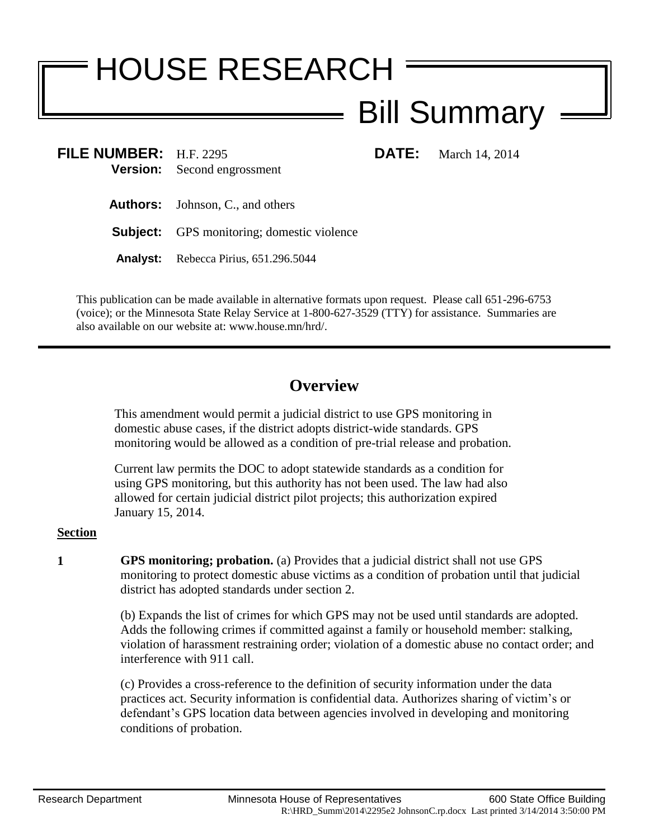# HOUSE RESEARCH

# Bill Summary

**FILE NUMBER:** H.F. 2295 **DATE:** March 14, 2014 **Version:** Second engrossment

**Authors:** Johnson, C., and others

**Subject:** GPS monitoring; domestic violence

**Analyst:** Rebecca Pirius, 651.296.5044

This publication can be made available in alternative formats upon request. Please call 651-296-6753 (voice); or the Minnesota State Relay Service at 1-800-627-3529 (TTY) for assistance. Summaries are also available on our website at: www.house.mn/hrd/.

## **Overview**

This amendment would permit a judicial district to use GPS monitoring in domestic abuse cases, if the district adopts district-wide standards. GPS monitoring would be allowed as a condition of pre-trial release and probation.

Current law permits the DOC to adopt statewide standards as a condition for using GPS monitoring, but this authority has not been used. The law had also allowed for certain judicial district pilot projects; this authorization expired January 15, 2014.

### **Section**

**1 GPS monitoring; probation.** (a) Provides that a judicial district shall not use GPS monitoring to protect domestic abuse victims as a condition of probation until that judicial district has adopted standards under section 2.

> (b) Expands the list of crimes for which GPS may not be used until standards are adopted. Adds the following crimes if committed against a family or household member: stalking, violation of harassment restraining order; violation of a domestic abuse no contact order; and interference with 911 call.

(c) Provides a cross-reference to the definition of security information under the data practices act. Security information is confidential data. Authorizes sharing of victim's or defendant's GPS location data between agencies involved in developing and monitoring conditions of probation.